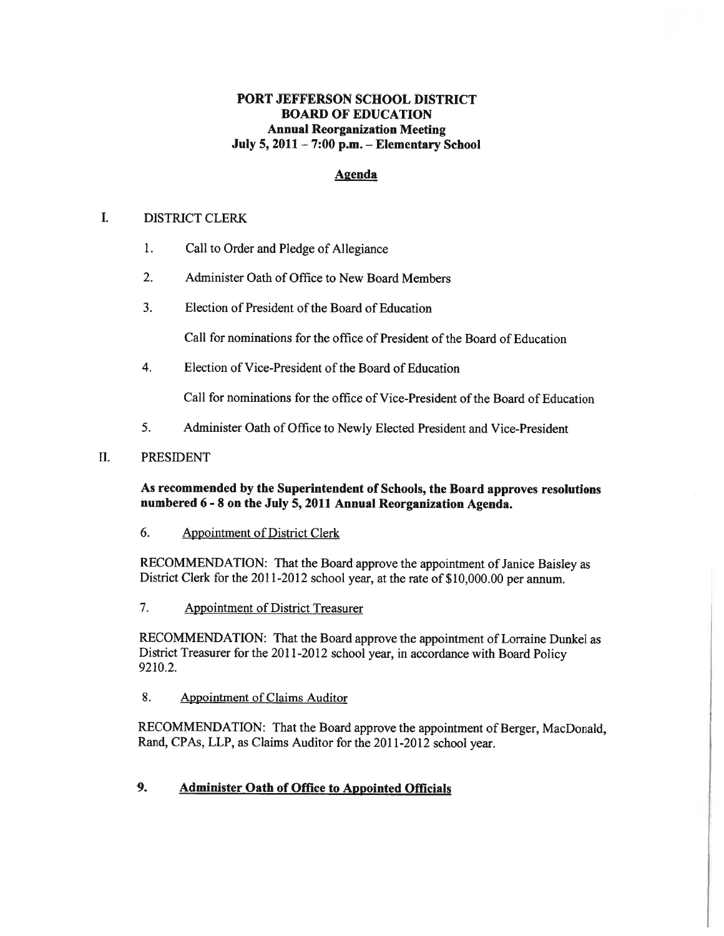# PORT JEFFERSON SCHOOL DISTRICT BOARD OF EDUCATION Annual Reorganization Meeting July 5, 2011 — 7:00 p.m. — Elementary School

# Agenda

#### L DISTRICT CLERK

- 1. Call to Order and Pledge of Allegiance
- 2. Administer Oath of Office to New Board Members
- 3. Election of President of the Board of Education

Call for nominations for the office of President of the Board of Education

4. Election of Vice-President of the Board of Education

Call for nominations for the office of Vice-President of the Board of Education

5. Administer Oath of Office to Newly Elected President and Vice-President

### II. PRESIDENT

#### As recommended by the Superintendent of Schools, the Board approves resolutions numbered <sup>6</sup> - <sup>8</sup> on the July 5, <sup>2011</sup> Annual Reorganization Agenda.

### 6. Appointment of District Clerk

RECOMMENDATION: That the Board approve the appointment of Janice Baisley as District Clerk for the 2011-2012 school year, at the rate of \$10,000.00 per annum.

7. Appointment of District Treasurer

RECOMMENDATION: That the Board approve the appointment of Lorraine Dunkel as District Treasurer for the 2011-2012 school year, in accordance with Board Policy 9210.2.

8. Appointment of Claims Auditor

RECOMMENDATION: That the Board approve the appointment of Berger, MacDonald, Rand, CPAs, LLP, as Claims Auditor for the 2011-2012 school year.

# 9. Administer Oath of Office to Appointed Officials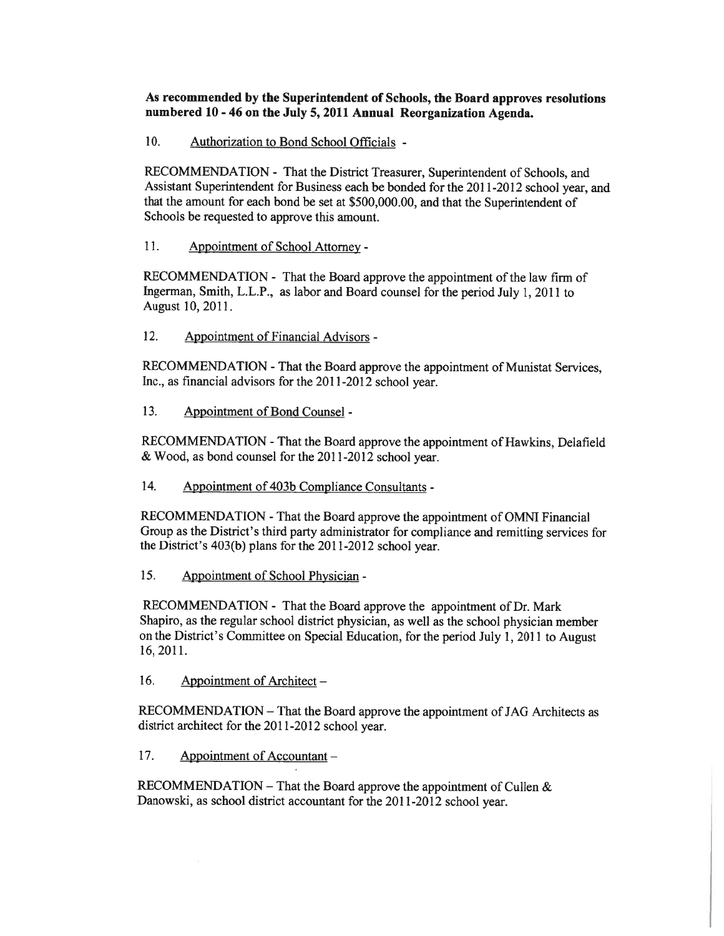As recommended by the Superintendent of Schools, the Board approves resolutions numbered <sup>10</sup> - <sup>46</sup> on the July 5, <sup>2011</sup> Annual Reorganization Agenda.

10. Authorization to Bond School Officials -

RECOMMENDATION - That the District Treasurer, Superintendent of Schools, and Assistant Superintendent for Business each be bonded for the 2011-2012 school year, and that the amount for each bond be set at \$500,000.00, and that the Superintendent of Schools be requested to approve this amount.

11. Appointment of School Attorney -

RECOMMENDATION - That the Board approve the appointment of the law firm of Ingerman, Smith, L.L.P., as labor and Board counsel for the period July 1, 2011 to August 10, 2011.

12. Appointment of Financial Advisors -

RECOMMENDATION -That the Board approve the appointment of Munistat Services, Inc., as financial advisors for the 2011-2012 school year.

13. Appointment of Bond Counsel -

RECOMMENDATION -That the Board approve the appointment of Hawkins, Delafield & Wood, as bond counsel for the 2011-2012 school year.

14. Appointment of 403b Compliance Consultants -

RECOMMENDATION -That the Board approve the appointment of OMNI Financial Group as the District's third party administrator for compliance and remitting services for the District's 403(b) <sup>p</sup>lans for the <sup>20</sup> 11-2012 school year.

15. Appointment of School Physician -

RECOMMENDATION - That the Board approve the appointment of Dr. Mark Shapiro, as the regular school district <sup>p</sup>hysician, as well as the school <sup>p</sup>hysician member on the District's Committee on Special Education, for the period July 1, <sup>2011</sup> to August 16, 2011.

16. Appointment of Architect –

RECOMMENDATION — That the Board approve the appointment of JAG Architects as district architect for the 2011-2012 school year.

17. Appointment of Accountant —

RECOMMENDATION – That the Board approve the appointment of Cullen  $\&$ Danowski, as school district accountant for the 2011-2012 school year.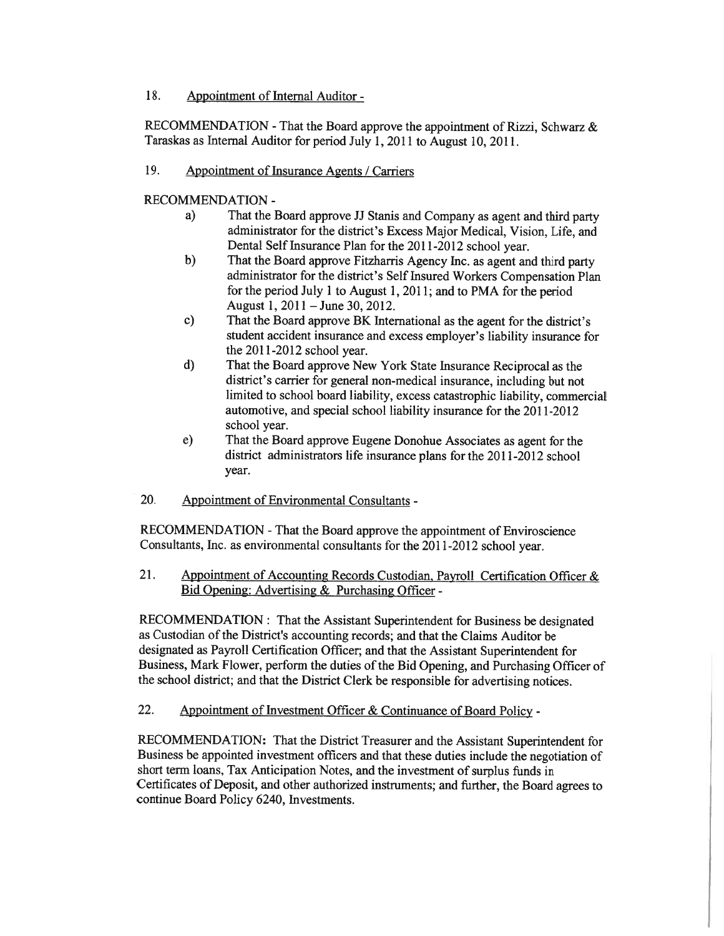18. Appointment of Internal Auditor -

RECOMMENDATION -That the Board approve the appointment of Rizzi, Schwarz & Taraskas as Internal Auditor for period July 1, <sup>2011</sup> to August 10, 2011.

19. Appointment of Insurance Agents / Carriers

RECOMMENDATION -

- a) That the Board approve JJ Stanis and Company as agen<sup>t</sup> and third party administrator for the district's Excess Major Medical, Vision, Life, and Dental Self Insurance Plan for the 2011-2012 school year.
- b) That the Board approve Fitzharris Agency Inc. as agen<sup>t</sup> and third party administrator for the district's Self Insured Workers Compensation Plan for the period July <sup>1</sup> to August 1, 2011; and to PMA for the period August 1,2011 — June 30, 2012.
- c) That the Board approve BK International as the agen<sup>t</sup> for the district's student accident insurance and excess employer's liability insurance for the 2011-2012 school year.
- d) That the Board approve New York State Insurance Reciprocal as the district's carrier for genera<sup>l</sup> non-medical insurance, including but not limited to school board liability, excess catastrophic liability, commercial automotive, and special school liability insurance for the 2011-2012 school year.
- e) That the Board approve Eugene Donohue Associates as agen<sup>t</sup> for the district administrators life insurance plans for the 2011-2012 school year.
- 20. Appointment of Environmental Consultants -

RECOMMENDATION -That the Board approve the appointment of Enviroscience Consultants, Inc. as environmental consultants for the 2011-2012 school year.

21. Appointment of Accounting Records Custodian, Payroll Certification Officer & Bid Opening: Advertising & Purchasing Officer -

RECOMMENDATION: That the Assistant Superintendent for Business be designated as Custodian of the District's accounting records; and that the Claims Auditor be designated as Payroll Certification Officer; and that the Assistant Superintendent for Business, Mark Flower, perform the duties of the Bid Opening, and Purchasing Officer of the school district; and that the District Clerk be responsible for advertising notices.

22. Appointment of Investment Officer & Continuance of Board Policy -

RECOMMENDATION: That the District Treasurer and the Assistant Superintendent for Business be appointed investment officers and that these duties include the negotiation of short term loans, Tax Anticipation Notes, and the investment of surplus funds in Certificates of Deposit, and other authorized instruments; and further, the Board agrees to continue Board Policy 6240, Investments.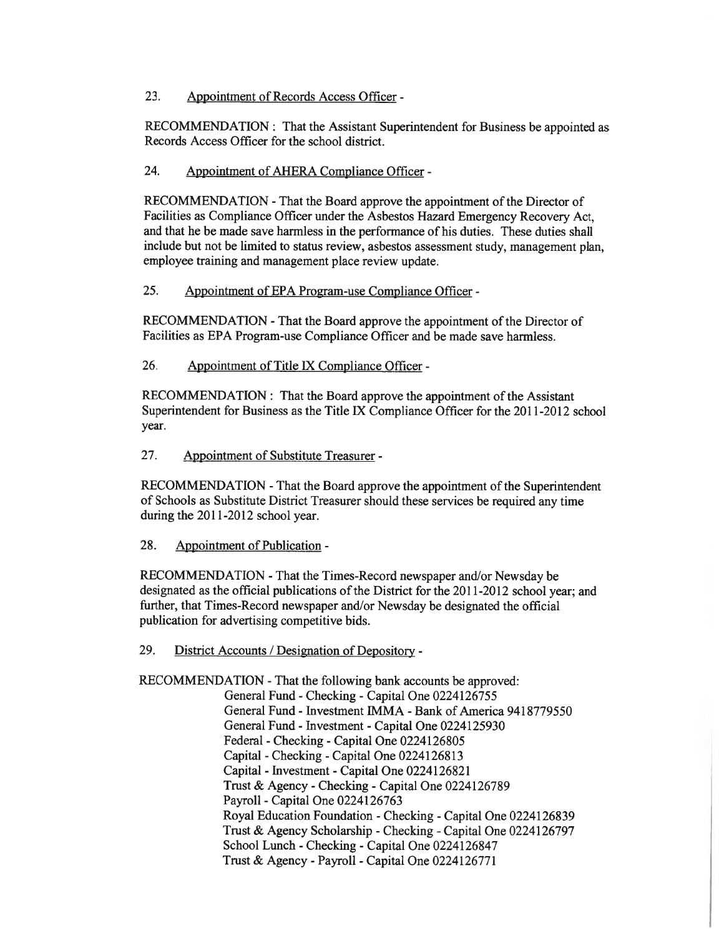## 23. Appointment of Records Access Officer -

RECOMMENDATION: That the Assistant Superintendent for Business be appointed as Records Access Officer for the school district.

# 24. Appointment of AHERA Compliance Officer -

RECOMMENDATION - That the Board approve the appointment of the Director of Facilities as Compliance Officer under the Asbestos Hazard Emergency Recovery Act, and that he be made save harmless in the performance of his duties. These duties shall include but not be limited to status review, asbestos assessment study, managemen<sup>t</sup> <sup>p</sup>lan, employee training and managemen<sup>t</sup> place review update.

# 25. Appointment of EPA Program-use Compliance Officer -

RECOMMENDATION - That the Board approve the appointment of the Director of Facilities as EPA Program-use Compliance Officer and be made save harmless.

### 26. Appointment of Title LX Compliance Officer -

RECOMMENDATION: That the Board approve the appointment of the Assistant Superintendent for Business as the Title IX Compliance Officer for the 2011-2012 school year.

27. Appointment of Substitute Treasurer -

RECOMMENDATION -That the Board approve the appointment of the Superintendent of Schools as Substitute District Treasurer should these services be required any time during the 2011-2012 school year.

### 28. Appointment of Publication -

RECOMMENDATION -That the Times-Record newspaper and/or Newsday be designated as the official publications of the District for the 2011-2012 school year; and further, that Times-Record newspaper and/or Newsday be designated the official publication for advertising competitive bids.

### 29. District Accounts / Designation of Depository -

RECOMMENDATION -That the following bank accounts be approved: General Fund -Checking -Capital One 0224126755 General Fund - Investment IMMA -Bank of America 9418779550 General Fund - Investment -Capital One 0224125930 Federal -Checking -Capital One 0224126805 Capital -Checking -Capital One 0224126813 Capital - Investment -Capital One 0224126821 Trust & Agency -Checking -Capital One 0224126789 Payroll - Capital One 0224126763 Royal Education Foundation -Checking -Capital One 0224126839 Trust & Agency Scholarship -Checking -Capital One 0224126797 School Lunch -Checking -Capital One 0224126847 Trust & Agency - Payroll - Capital One 0224126771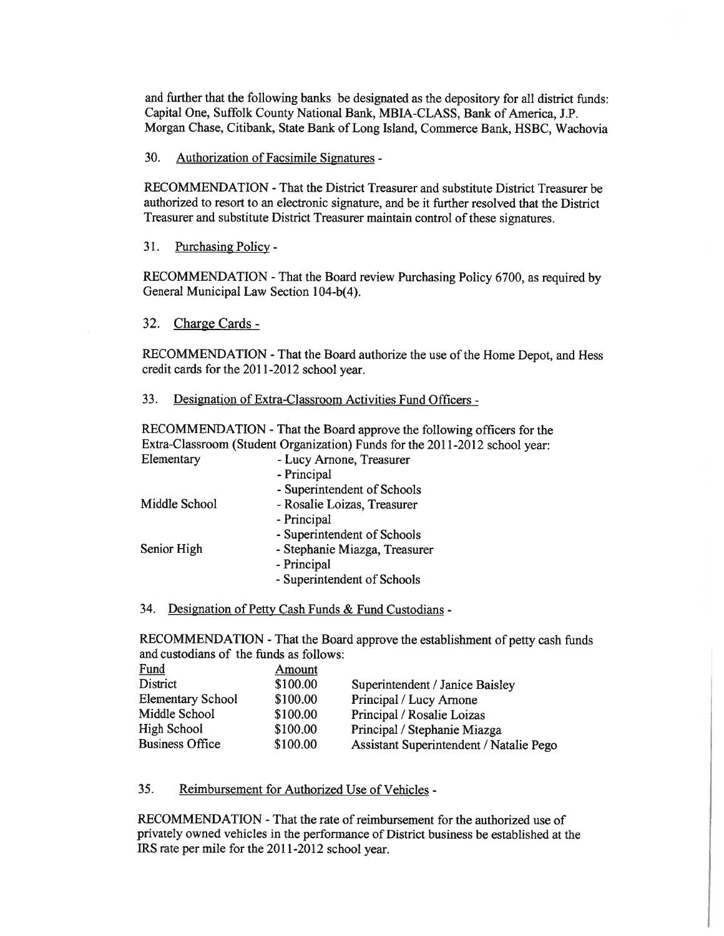and further that the following banks be designated as the depository for all district funds: Capital One, Suffolk County National Bank, MBIA-CLASS, Bank of America, J.P. Morgan Chase, Citibank, State Bank of Long Island, Commerce Bank, HSBC, Wachovia

30. Authorization of Facsimile Signatures -

RECOMMENDATION -That the District Treasurer and substitute District Treasurer be authorized to resort to an electronic signature, and be it further resolved that the District Treasurer and substitute District Treasurer maintain control of these signatures.

31. Purchasing Policy -

RECOMMENDATION -That the Board review Purchasing Policy 6700, as required by General Municipal Law Section 104-b(4).

32. Charge Cards -

RECOMMENDATION -That the Board authorize the use of the Home Depot, and Hess credit cards for the 2011-2012 school year.

33. Designation of Extra-Classroom Activities Fund Officers -

RECOMMENDATION -That the Board approve the following officers for the Extra-Classroom (Student Organization) Funds for the 2011-2012 school year: Elementary - Lucy Arnone, Treasurer

|               | - Principal                   |
|---------------|-------------------------------|
|               | - Superintendent of Schools   |
| Middle School | - Rosalie Loizas, Treasurer   |
|               | - Principal                   |
|               | - Superintendent of Schools   |
| Senior High   | - Stephanie Miazga, Treasurer |
|               | - Principal                   |
|               | - Superintendent of Schools   |
|               |                               |

# 34. Designation of Petty Cash Funds & Fund Custodians -

RECOMMENDATION -That the Board approve the establishment of petty cash funds and custodians of the funds as follows:

| Fund                     | Amount   |                                         |
|--------------------------|----------|-----------------------------------------|
| District                 | \$100.00 | Superintendent / Janice Baisley         |
| <b>Elementary School</b> | \$100.00 | Principal / Lucy Arnone                 |
| Middle School            | \$100.00 | Principal / Rosalie Loizas              |
| High School              | \$100.00 | Principal / Stephanie Miazga            |
| <b>Business Office</b>   | \$100.00 | Assistant Superintendent / Natalie Pego |
|                          |          |                                         |

35. Reimbursement for Authorized Use of Vehicles -

RECOMMENDATION -That the rate of reimbursement for the authorized use of privately owned vehicles in the performance of District business be established at the IRS rate per mile for the 2011-2012 school year.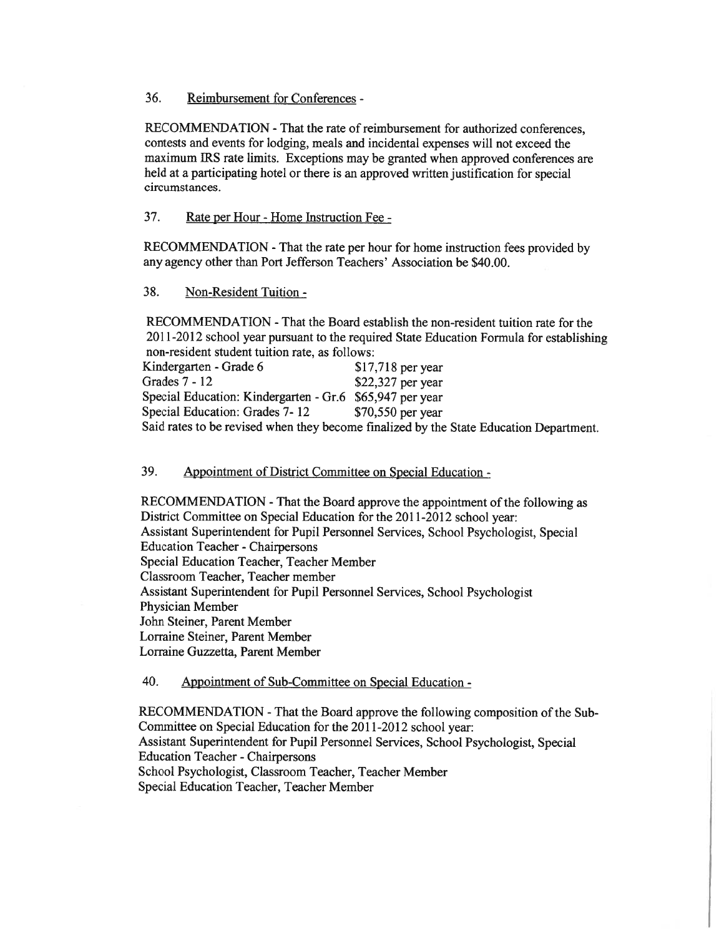36. Reimbursement for Conferences -

RECOMMENDATION -That the rate of reimbursement for authorized conferences, contests and events for lodging, meals and incidental expenses will not exceed the maximum IRS rate limits. Exceptions may be granted when approved conferences are held at <sup>a</sup> participating hotel or there is an approved written justification for special circumstances.

37. Rate per Hour -Home Instruction Fee -

RECOMMENDATION -That the rate per hour for home instruction fees provided by any agency other than Port Jefferson Teachers' Association be \$40.00.

38. Non-Resident Tuition -

RECOMMENDATION -That the Board establish the non-resident tuition rate for the 2011-2012 school year pursuan<sup>t</sup> to the required State Education Formula for establishing non-resident student tuition rate, as follows:

| Kindergarten - Grade 6                                   | $$17,718$ per year                                                                     |
|----------------------------------------------------------|----------------------------------------------------------------------------------------|
| Grades $7 - 12$                                          | $$22,327$ per year                                                                     |
| Special Education: Kindergarten - Gr.6 \$65,947 per year |                                                                                        |
| Special Education: Grades 7-12                           | $$70,550$ per year                                                                     |
|                                                          | Said rates to be revised when they become finalized by the State Education Department. |

39. Appointment of District Committee on Special Education -

RECOMMENDATION - That the Board approve the appointment of the following as District Committee on Special Education for the 2011-2012 school year: Assistant Superintendent for Pupil Personnel Services, School Psychologist, Special Education Teacher -Chairpersons Special Education Teacher, Teacher Member Classroom Teacher, Teacher member Assistant Superintendent for Pupil Personnel Services, School Psychologist Physician Member John Steiner, Parent Member Lorraine Steiner, Parent Member Lorraine Guzzetta, Parent Member

40. Appointment of Sub-Committee on Special Education -

RECOMMENDATION -That the Board approve the following composition of the Sub Committee on Special Education for the 2011-2012 school year: Assistant Superintendent for Pupil Personnel Services, School Psychologist, Special Education Teacher -Chairpersons School Psychologist, Classroom Teacher, Teacher Member Special Education Teacher, Teacher Member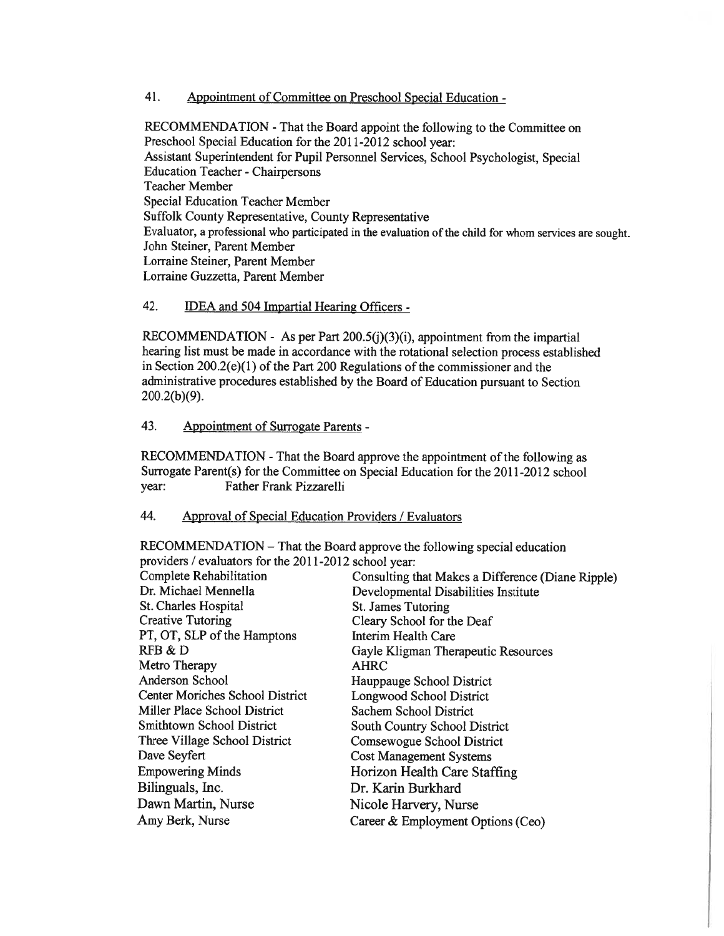41. Appointment of Committee on Preschool Special Education -

RECOMMENDATION -That the Board appoint the following to the Committee on Preschool Special Education for the 2011-2012 school year: Assistant Superintendent for Pupil Personnel Services, School Psychologist, Special Education Teacher -Chairpersons Teacher Member Special Education Teacher Member Suffolk County Representative, County Representative Evaluator, a professional who participated in the evaluation of the child for whom services are sought. John Steiner, Parent Member Lorraine Steiner, Parent Member Lorraine Guzzetta, Parent Member

# 42. **IDEA and 504 Impartial Hearing Officers -**

RECOMMENDATION - As per Part 200.5(j)(3)(i), appointment from the impartial hearing list must be made in accordance with the rotational selection process established in Section  $200.2(e)(1)$  of the Part 200 Regulations of the commissioner and the administrative procedures established by the Board of Education pursuan<sup>t</sup> to Section 200.2(b)(9).

#### 43. Appointment of Surrogate Parents -

RECOMMENDATION -That the Board approve the appointment of the following as Surrogate Parent(s) for the Committee on Special Education for the 2011-2012 school year: Father Frank Pizzarelli

### 44. Approval of Special Education Providers / Evaluators

RECOMMENDATION — That the Board approve the following special education providers / evaluators for the 2011-2012 school year:

| Complete Rehabilitation          | Consulting that Makes a Difference (Diane Ripple) |
|----------------------------------|---------------------------------------------------|
| Dr. Michael Mennella             | Developmental Disabilities Institute              |
| St. Charles Hospital             | St. James Tutoring                                |
| <b>Creative Tutoring</b>         | Cleary School for the Deaf                        |
| PT, OT, SLP of the Hamptons      | Interim Health Care                               |
| RFB & D                          | Gayle Kligman Therapeutic Resources               |
| Metro Therapy                    | <b>AHRC</b>                                       |
| Anderson School                  | Hauppauge School District                         |
| Center Moriches School District  | <b>Longwood School District</b>                   |
| Miller Place School District     | Sachem School District                            |
| <b>Smithtown School District</b> | <b>South Country School District</b>              |
| Three Village School District    | Comsewogue School District                        |
| Dave Seyfert                     | <b>Cost Management Systems</b>                    |
| <b>Empowering Minds</b>          | Horizon Health Care Staffing                      |
| Bilinguals, Inc.                 | Dr. Karin Burkhard                                |
| Dawn Martin, Nurse               | Nicole Harvery, Nurse                             |
| Amy Berk, Nurse                  | Career & Employment Options (Ceo)                 |
|                                  |                                                   |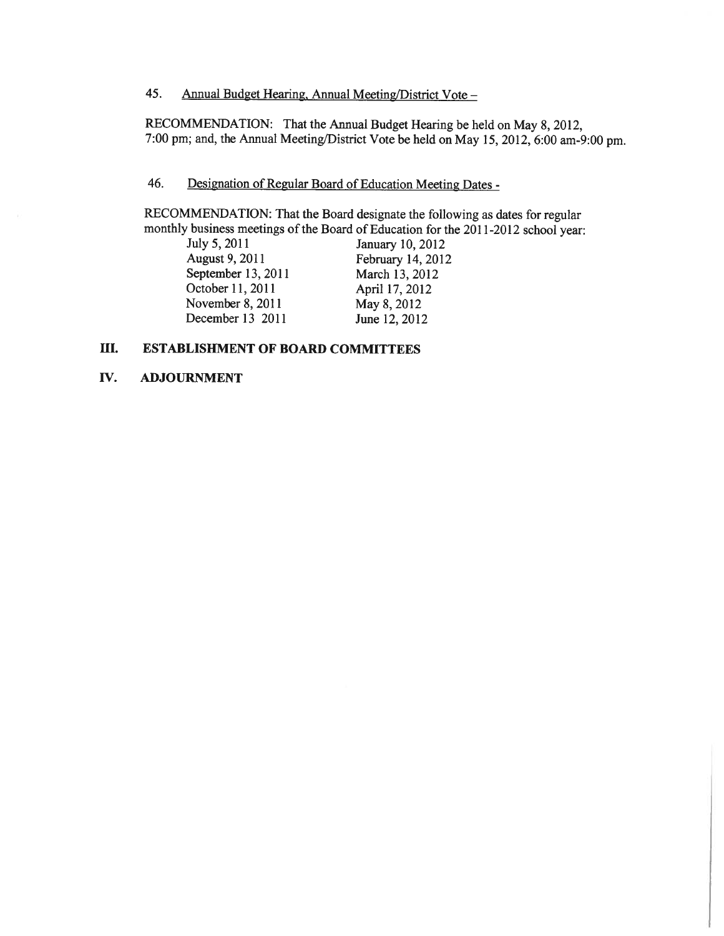# 45. Annual Budget Hearing, Annual Meeting/District Vote —

RECOMMENDATION: That the Annual Budget Hearing be held on May 8, 2012, 7:00 pm; and, the Annual Meeting/District Vote be held on May 15, 2012, 6:00 am-9:00 pm.

# 46. Designation of Regular Board of Education Meeting Dates -

RECOMMENDATION: That the Board designate the following as dates for regular monthly business meetings of the Board of Education for the 2011-2012 school year:<br>July 5, 2011 January 10, 2012

July 5, 2011 January 10, 2012<br>August 9, 2011 February 14, 2012 September 13, 2011 October 11, 2011 **April 17, 2012** November 8, 2011 May 8, 2012 December 13 2011 June 12, 2012

February 14, 2012<br>March 13, 2012

# III. ESTABLISHMENT OF BOARD COMMITTEES

#### IV. ADJOURNMENT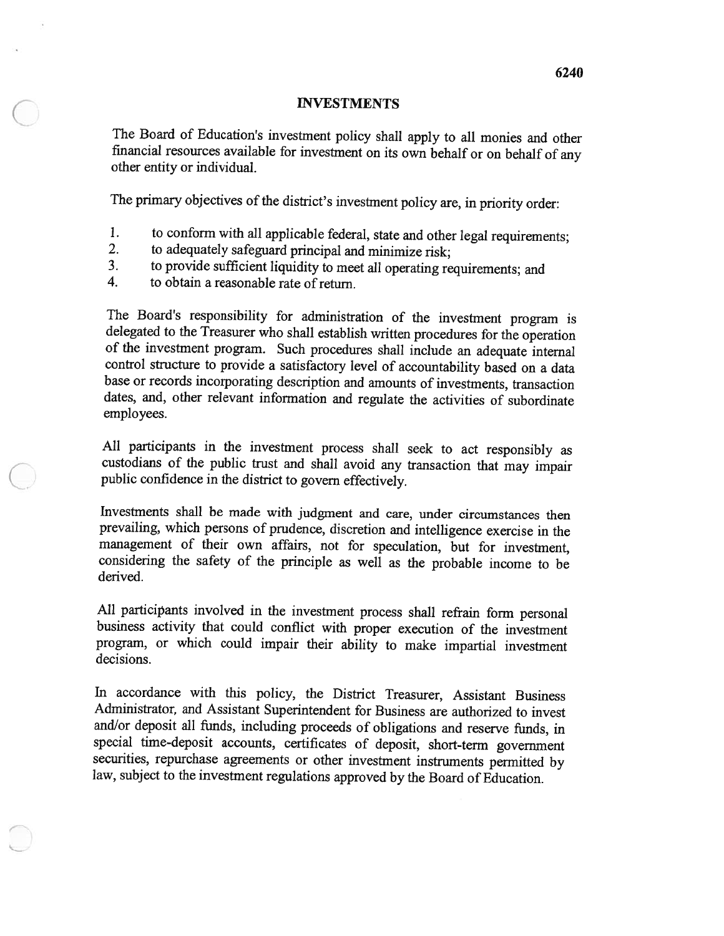#### INVESTMENTS

The Board of Education's investment policy shall apply to all monies and other financial resources available for investment on its own behalf or on behalf of any other entity or individual.

The primary objectives of the district's investment policy are, in priority order:

- 1. to conform with all applicable federal, state and other legal requirements;<br>2. to adequately safeguard principal and minimize risk:
- to adequately safeguard principal and minimize risk;
- 3. to provide sufficient liquidity to meet all operating requirements; and to obtain a reasonable rate of return
- to obtain a reasonable rate of return.

The Board's responsibility for administration of the investment program is delegated to the Treasurer who shall establish written procedures for the operation of the investment program. Such procedures shall include an adequate internal control structure to provide <sup>a</sup> satisfactory level of accountability based on <sup>a</sup> data base or records incorporating description and amounts of investments, transaction dates, and, other relevant information and regulate the activities of subordinate employees.

All participants in the investment process shall seek to act responsibly as custodians of the public trust and shall avoid any transaction that may impair public confidence in the district to govern effectively.

Investments shall be made with judgment and care, under circumstances then prevailing, which persons of prudence, discretion and intelligence exercise in the management of their own affairs, not for speculation, but for investment, considering the safety of the principle as well as the probable income to be derived.

All participants involved in the investment process shall refrain form personal business activity that could conflict with proper execution of the investment program, or which could impair their ability to make impartial investment decisions.

In accordance with this policy, the District Treasurer, Assistant Business Administrator, and Assistant Superintendent for Business are authorized to invest and/or deposit all funds, including proceeds of obligations and reserve funds, in special time-deposit accounts, certificates of deposit, short-term government law, subject to the investment regulations approved by the Board of Education.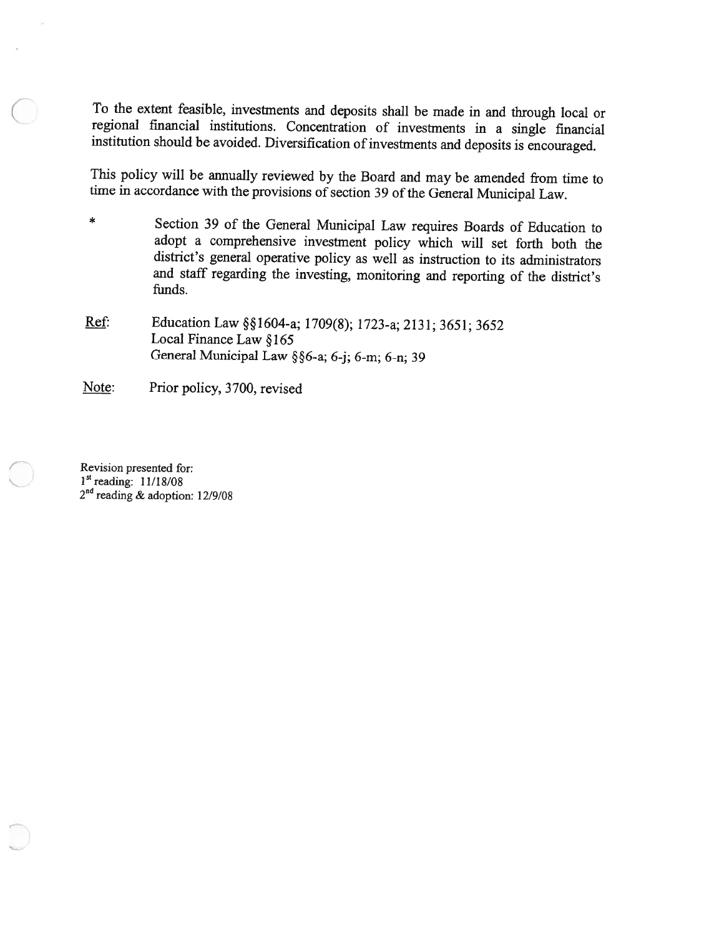To the extent feasible, investments and deposits shall be made in and through local or regional financial institutions. Concentration of investments in a single financial institution should be avoided. Diversification of investments and deposits is encouraged.

This policy will be annually reviewed by the Board and may be amended from time to time in accordance with the provisions of section 39 of the General Municipal Law.

- \* Section <sup>39</sup> of the General Municipal Law requires Boards of Education to adopt <sup>a</sup> comprehensive investment policy which will set forth both the district's general operative policy as well as instruction to its administrators and staff regarding the investing, monitoring and reporting of the district's funds.
- Ref: Education Law §§1604-a; 1709(8); 1723-a; 2131; 3651; 3652 Local Finance Law §165 General Municipal Law  $\S$ §6-a; 6-j; 6-m; 6-n; 39

Note: Prior policy, 3700, revised

Revision presented for: 1st reading: 11/18/08  $2<sup>na</sup>$  reading & adoption: 12/9/08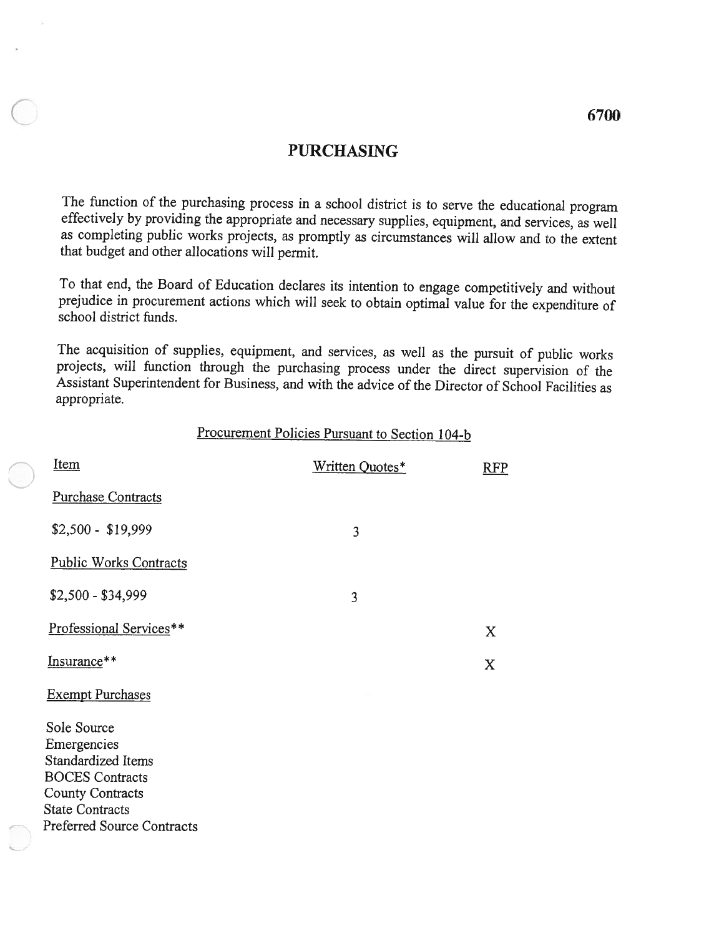# PURCHASING

The function of the purchasing process in <sup>a</sup> school district is to serve the educational program effectively by providing the appropriate and necessary supplies, equipment, and services, as well as completing public works projects, as promptly as circumstances will allow and to the extent that budget and other allocations will permit.

To that end, the Board of Education declares its intention to engage competitively and without prejudice in procurement actions which will seek to obtain optimal value for the expenditure of school district funds.

The acquisition of supplies, equipment, and services, as well as the pursuit of public works<br>projects, will function through the purchasing process under the direct supervision of the<br>Assistant Superintendent for Business, appropriate.

|                                                                                                                                                               | Procurement Policies Pursuant to Section 104-b |                           |
|---------------------------------------------------------------------------------------------------------------------------------------------------------------|------------------------------------------------|---------------------------|
| <u>Item</u>                                                                                                                                                   | Written Quotes*                                | <b>RFP</b>                |
| <b>Purchase Contracts</b>                                                                                                                                     |                                                |                           |
| $$2,500 - $19,999$                                                                                                                                            | 3                                              |                           |
| <b>Public Works Contracts</b>                                                                                                                                 |                                                |                           |
| $$2,500 - $34,999$                                                                                                                                            | 3                                              |                           |
| Professional Services**                                                                                                                                       |                                                | $\boldsymbol{\mathrm{X}}$ |
| Insurance**                                                                                                                                                   |                                                | $\mathbf X$               |
| <b>Exempt Purchases</b>                                                                                                                                       |                                                |                           |
| Sole Source<br>Emergencies<br>Standardized Items<br><b>BOCES</b> Contracts<br><b>County Contracts</b><br><b>State Contracts</b><br>Preferred Source Contracts |                                                |                           |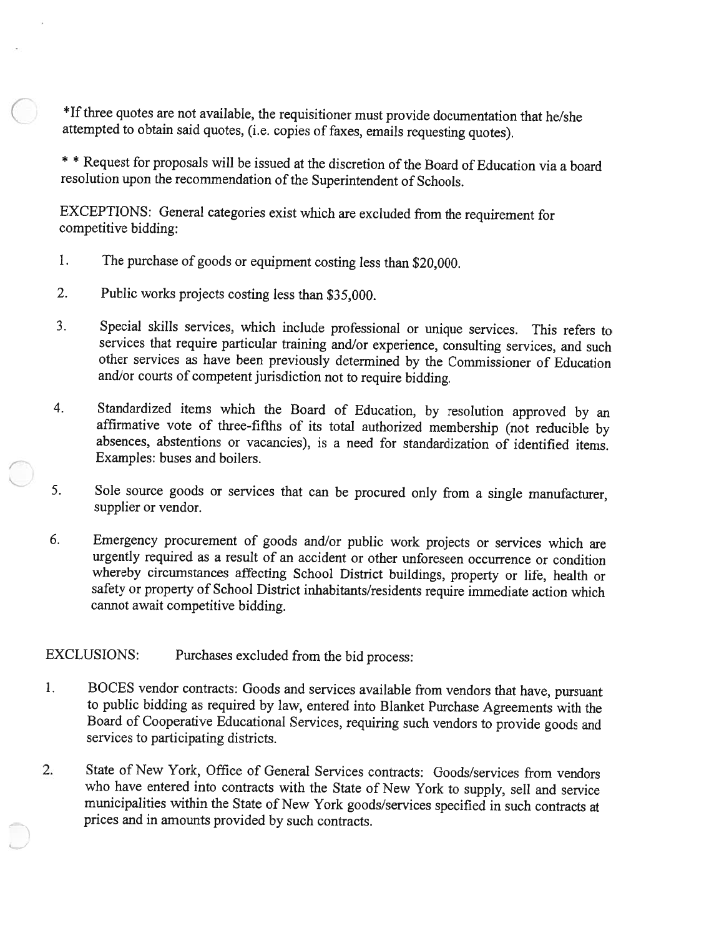\*If three quotes are not available, the requisitioner must provide documentation that he/she attempted to obtain said quotes, (i.e. copies of faxes, emails requesting quotes).

\* \* Request for proposals will be issued at the discretion of the Board of Education via a board resolution upon the recommendation of the Superintendent of Schools.

EXCEPTIONS: General categories exist which are excluded from the requirement for competitive bidding:

- 1. The purchase of goods or equipment costing less than \$20,000.
- 2. Public works projects costing less than \$35,000.
- 3. Special skills services, which include professional or unique services. This refers to services that require particular training and/or experience, consulting services, and such other services as have been previously determined by the Commissioner of Education and/or courts of competent jurisdiction not to require bidding.
- 4. Standardized items which the Board of Education, by resolution approved by an affirmative vote of three-fifths of its total authorized membership (not reducible by absences, abstentions or vacancies), is a need for stan Examples: buses and boilers.
- 5. Sole source goods or services that can be procured only from <sup>a</sup> single manufacturer, supplier or vendor.
- 6. Emergency procurement of goods and/or public work projects or services which are urgently required as <sup>a</sup> result of an accident or other unforeseen occurrence or condition whereby circumstances affecting School District buildings, property or life, health or safety or property of School District inhabitants/residents require immediate action which cannot await competitive bidding.

EXCLUSIONS: Purchases excluded from the bid process:

- BOCES vendor contracts: Goods and services available from vendors that have, pursuant  $\mathbf{1}$ . to public bidding as required by law, entered into Blanket Purchase Agreements with the Board of Cooperative Educational Services, requiring such vendors to provide goods and services to participating districts.
- 2. State of New York, Office of General Services contracts: Goods/services from vendors who have entered into contracts with the State of New York to supply, sell and service municipalities within the State of New York goods/services specified in such contracts at prices and in amounts provided by such contracts.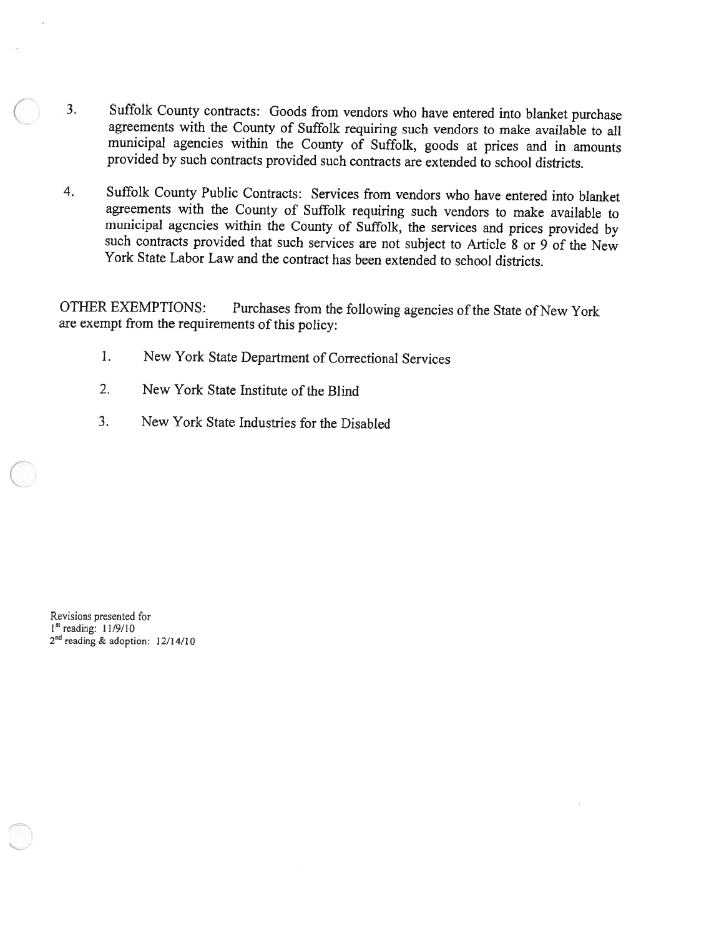- 3. Suffolk County contracts: Goods from vendors who have entered into blanket purchase agreements with the County of Suffolk requiring such vendors to make available to all municipal agencies within the County of Suffolk, goods at prices and in amounts provided by such contracts provided such contracts are extended to school districts.
- 4. Suffolk County Public Contracts: Services from vendors who have entered into blanket agreements with the County of Suffolk requiring such vendors to make available to municipal agencies within the County of Suffolk, the services and prices provided by such contracts provided that such services are not subject to Article 8 or 9 of the New York State Labor Law and the contract has been extended to school districts.

OTHER EXEMPTIONS: Purchases from the following agencies of the State of New York are exempt from the requirements of this policy:

- 1. New York State Department of Correctional Services
- 2. New York State Institute of the Blind
- 3. New York State Industries for the Disabled

Revisions presented for 1<sup>st</sup> reading: 11/9/10 2<sup>nd</sup> reading & adoption: 12/14/10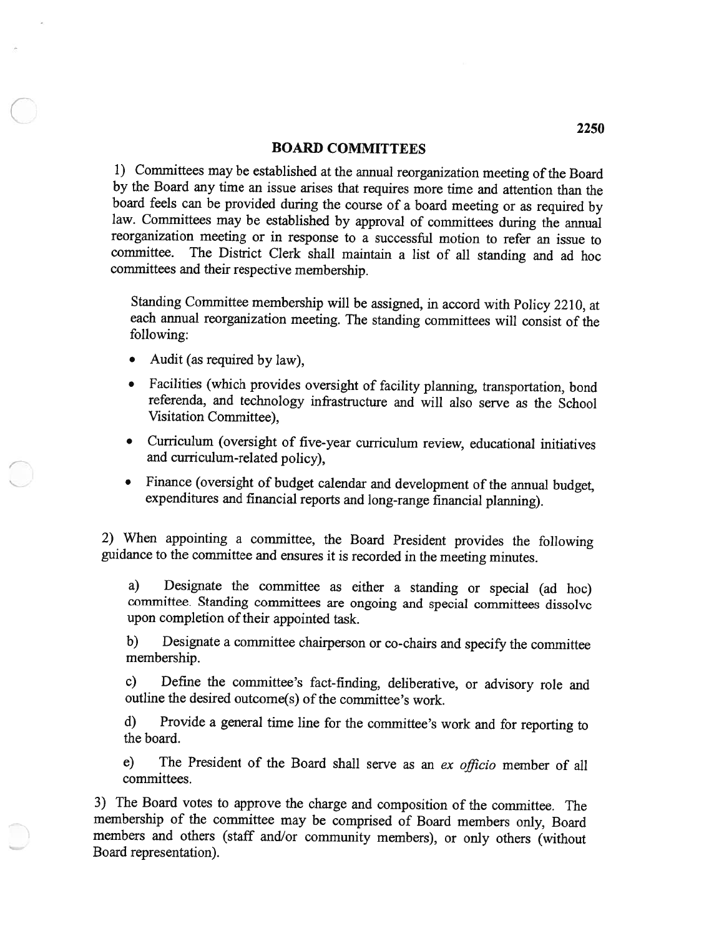#### BOARD COMMITTEES

1) Committees may be established at the annual reorganization meeting of the Board by the Board any time an issue arises that requires more time and attention than the board feels can be provided during the course of a board meeting or as required by law. Committees may be established by approval of committees during the annual reorganization meeting or in response to <sup>a</sup> successful motion to refer an issue to committee. The District Clerk shall maintain <sup>a</sup> list of all standing and ad hoc committees and their respective membership.

Standing Committee membership will be assigned, in accord with Policy 2210, at each annual reorganization meeting. The standing committees will consist of the following:

- Audit (as required by law),
- • Facilities (which provides oversight of facility <sup>p</sup>lanning, transportation, bond referenda, and technology infrastructure and will also serve as the School Visitation Committee),
- Curriculum (oversight of five-year curriculum review, educational initiatives and curriculum-related policy),
- • Finance (oversight of budget calendar and development of the annual budget, expenditures and financial reports and long-range financial <sup>p</sup>lanning).

2) When appointing <sup>a</sup> committee, the Board President provides the following guidance to the committee and ensures it is recorded in the meeting minutes.

a) Designate the committee as either <sup>a</sup> standing or special (ad hoc) committee. Standing committees are ongoing and special committees dissolve upon completion of their appointed task.

b) Designate <sup>a</sup> committee chairperson or co-chairs and specify the committee membership.

c) Define the committee's fact-finding, deliberative, or advisory role and outline the desired outcome(s) of the committee's work.

d) Provide <sup>a</sup> general time line for the committee's work and for reporting to the board.

e) The President of the Board shall serve as an ex officio member of all committees.

3) The Board votes to approve the charge and composition of the committee. The membership of the committee may be comprised of Board members only, Board members and others (staff and/or community members), or only others (without Board representation).